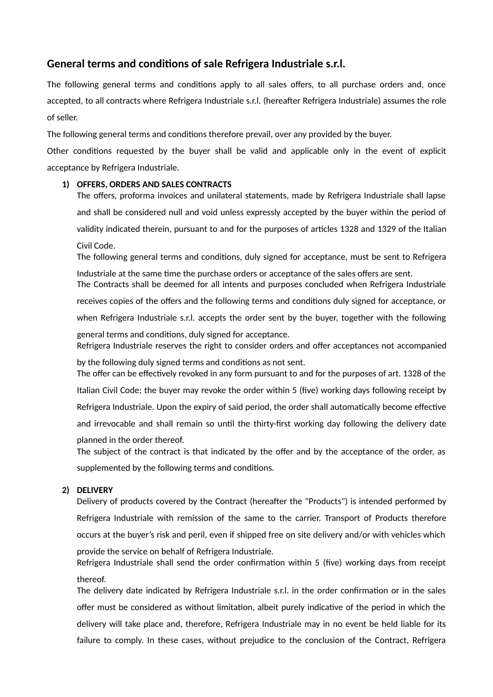# **General terms and conditions of sale Refrigera Industriale s.r.l.**

The following general terms and conditions apply to all sales offers, to all purchase orders and, once accepted, to all contracts where Refrigera Industriale s.r.l. (hereafter Refrigera Industriale) assumes the role of seller.

The following general terms and conditions therefore prevail, over any provided by the buyer.

Other conditions requested by the buyer shall be valid and applicable only in the event of explicit acceptance by Refrigera Industriale.

## **1) OFFERS, ORDERS AND SALES CONTRACTS**

The offers, proforma invoices and unilateral statements, made by Refrigera Industriale shall lapse and shall be considered null and void unless expressly accepted by the buyer within the period of validity indicated therein, pursuant to and for the purposes of articles 1328 and 1329 of the Italian Civil Code.

The following general terms and conditions, duly signed for acceptance, must be sent to Refrigera Industriale at the same time the purchase orders or acceptance of the sales offers are sent.

The Contracts shall be deemed for all intents and purposes concluded when Refrigera Industriale

receives copies of the offers and the following terms and conditions duly signed for acceptance, or

when Refrigera Industriale s.r.l. accepts the order sent by the buyer, together with the following

general terms and conditions, duly signed for acceptance. Refrigera Industriale reserves the right to consider orders and offer acceptances not accompanied

by the following duly signed terms and conditions as not sent. The offer can be effectively revoked in any form pursuant to and for the purposes of art. 1328 of the

Italian Civil Code; the buyer may revoke the order within 5 (five) working days following receipt by

Refrigera Industriale. Upon the expiry of said period, the order shall automatically become effective

and irrevocable and shall remain so until the thirty-first working day following the delivery date

planned in the order thereof.

The subject of the contract is that indicated by the offer and by the acceptance of the order, as supplemented by the following terms and conditions.

## **2) DELIVERY**

Delivery of products covered by the Contract (hereafter the "Products") is intended performed by Refrigera Industriale with remission of the same to the carrier. Transport of Products therefore occurs at the buyer's risk and peril, even if shipped free on site delivery and/or with vehicles which provide the service on behalf of Refrigera Industriale.

Refrigera Industriale shall send the order confirmation within 5 (five) working days from receipt thereof.

The delivery date indicated by Refrigera Industriale s.r.l. in the order confirmation or in the sales offer must be considered as without limitation, albeit purely indicative of the period in which the delivery will take place and, therefore, Refrigera Industriale may in no event be held liable for its failure to comply. In these cases, without prejudice to the conclusion of the Contract, Refrigera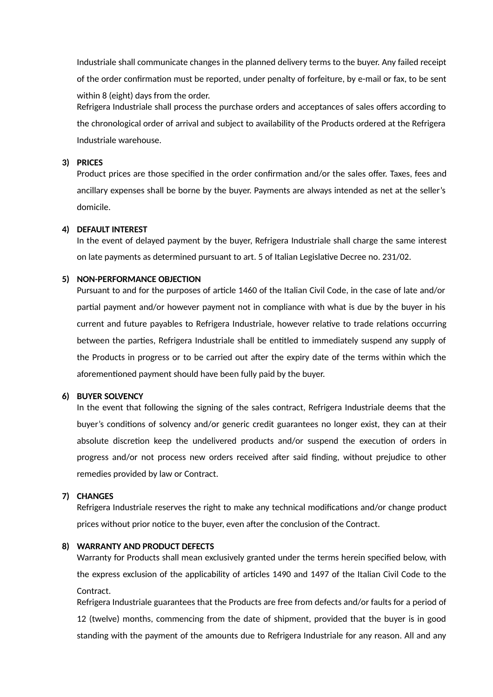Industriale shall communicate changes in the planned delivery terms to the buyer. Any failed receipt of the order confirmation must be reported, under penalty of forfeiture, by e-mail or fax, to be sent within 8 (eight) days from the order. Refrigera Industriale shall process the purchase orders and acceptances of sales offers according to the chronological order of arrival and subject to availability of the Products ordered at the Refrigera Industriale warehouse.

## **3) PRICES**

Product prices are those specified in the order confirmation and/or the sales offer. Taxes, fees and ancillary expenses shall be borne by the buyer. Payments are always intended as net at the seller's domicile.

## **4) DEFAULT INTEREST**

In the event of delayed payment by the buyer, Refrigera Industriale shall charge the same interest on late payments as determined pursuant to art. 5 of Italian Legislative Decree no. 231/02.

### **5) NON-PERFORMANCE OBJECTION**

Pursuant to and for the purposes of article 1460 of the Italian Civil Code, in the case of late and/or partial payment and/or however payment not in compliance with what is due by the buyer in his current and future payables to Refrigera Industriale, however relative to trade relations occurring between the parties, Refrigera Industriale shall be entitled to immediately suspend any supply of the Products in progress or to be carried out after the expiry date of the terms within which the aforementioned payment should have been fully paid by the buyer.

## **6) BUYER SOLVENCY**

In the event that following the signing of the sales contract, Refrigera Industriale deems that the buyer's conditions of solvency and/or generic credit guarantees no longer exist, they can at their absolute discretion keep the undelivered products and/or suspend the execution of orders in progress and/or not process new orders received after said finding, without prejudice to other remedies provided by law or Contract.

### **7) CHANGES**

Refrigera Industriale reserves the right to make any technical modifications and/or change product prices without prior notice to the buyer, even after the conclusion of the Contract.

### **8) WARRANTY AND PRODUCT DEFECTS**

Warranty for Products shall mean exclusively granted under the terms herein specified below, with the express exclusion of the applicability of articles 1490 and 1497 of the Italian Civil Code to the Contract.

Refrigera Industriale guarantees that the Products are free from defects and/or faults for a period of 12 (twelve) months, commencing from the date of shipment, provided that the buyer is in good standing with the payment of the amounts due to Refrigera Industriale for any reason. All and any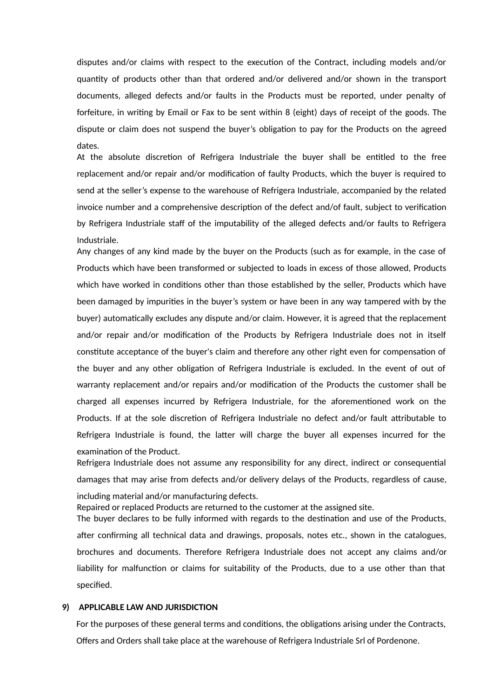disputes and/or claims with respect to the execution of the Contract, including models and/or quantity of products other than that ordered and/or delivered and/or shown in the transport documents, alleged defects and/or faults in the Products must be reported, under penalty of forfeiture, in writing by Email or Fax to be sent within 8 (eight) days of receipt of the goods. The dispute or claim does not suspend the buyer's obligation to pay for the Products on the agreed dates.

At the absolute discretion of Refrigera Industriale the buyer shall be entitled to the free replacement and/or repair and/or modification of faulty Products, which the buyer is required to send at the seller's expense to the warehouse of Refrigera Industriale, accompanied by the related invoice number and a comprehensive description of the defect and/of fault, subject to verification by Refrigera Industriale staff of the imputability of the alleged defects and/or faults to Refrigera Industriale.

Any changes of any kind made by the buyer on the Products (such as for example, in the case of Products which have been transformed or subjected to loads in excess of those allowed, Products which have worked in conditions other than those established by the seller, Products which have been damaged by impurities in the buyer's system or have been in any way tampered with by the buyer) automatically excludes any dispute and/or claim. However, it is agreed that the replacement and/or repair and/or modification of the Products by Refrigera Industriale does not in itself constitute acceptance of the buyer's claim and therefore any other right even for compensation of the buyer and any other obligation of Refrigera Industriale is excluded. In the event of out of warranty replacement and/or repairs and/or modification of the Products the customer shall be charged all expenses incurred by Refrigera Industriale, for the aforementioned work on the Products. If at the sole discretion of Refrigera Industriale no defect and/or fault attributable to Refrigera Industriale is found, the latter will charge the buyer all expenses incurred for the examination of the Product.

Refrigera Industriale does not assume any responsibility for any direct, indirect or consequential damages that may arise from defects and/or delivery delays of the Products, regardless of cause,

including material and/or manufacturing defects.

Repaired or replaced Products are returned to the customer at the assigned site.

The buyer declares to be fully informed with regards to the destination and use of the Products, after confirming all technical data and drawings, proposals, notes etc., shown in the catalogues, brochures and documents. Therefore Refrigera Industriale does not accept any claims and/or liability for malfunction or claims for suitability of the Products, due to a use other than that specified.

#### **9) APPLICABLE LAW AND JURISDICTION**

For the purposes of these general terms and conditions, the obligations arising under the Contracts, Offers and Orders shall take place at the warehouse of Refrigera Industriale Srl of Pordenone.